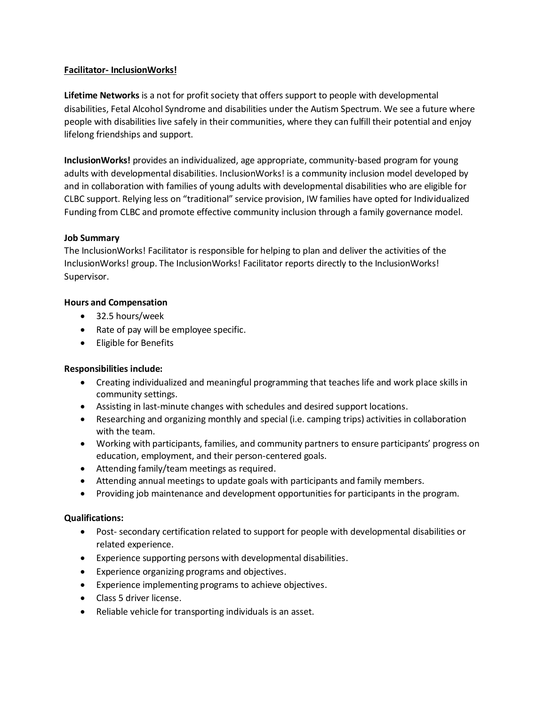## **Facilitator- InclusionWorks!**

**Lifetime Networks** is a not for profit society that offers support to people with developmental disabilities, Fetal Alcohol Syndrome and disabilities under the Autism Spectrum. We see a future where people with disabilities live safely in their communities, where they can fulfill their potential and enjoy lifelong friendships and support.

**InclusionWorks!** provides an individualized, age appropriate, community-based program for young adults with developmental disabilities. InclusionWorks! is a community inclusion model developed by and in collaboration with families of young adults with developmental disabilities who are eligible for CLBC support. Relying less on "traditional" service provision, IW families have opted for Individualized Funding from CLBC and promote effective community inclusion through a family governance model.

## **Job Summary**

The InclusionWorks! Facilitator is responsible for helping to plan and deliver the activities of the InclusionWorks! group. The InclusionWorks! Facilitator reports directly to the InclusionWorks! Supervisor.

# **Hours and Compensation**

- 32.5 hours/week
- Rate of pay will be employee specific.
- Eligible for Benefits

#### **Responsibilities include:**

- Creating individualized and meaningful programming that teaches life and work place skills in community settings.
- Assisting in last-minute changes with schedules and desired support locations.
- Researching and organizing monthly and special (i.e. camping trips) activities in collaboration with the team.
- Working with participants, families, and community partners to ensure participants' progress on education, employment, and their person-centered goals.
- Attending family/team meetings as required.
- Attending annual meetings to update goals with participants and family members.
- Providing job maintenance and development opportunities for participants in the program.

#### **Qualifications:**

- Post- secondary certification related to support for people with developmental disabilities or related experience.
- Experience supporting persons with developmental disabilities.
- Experience organizing programs and objectives.
- Experience implementing programs to achieve objectives.
- Class 5 driver license.
- Reliable vehicle for transporting individuals is an asset.